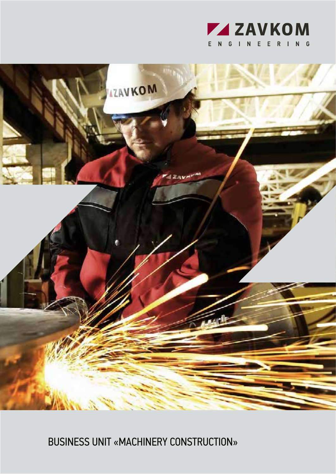



BUSINESS UNIT «MACHINERY CONSTRUCTION»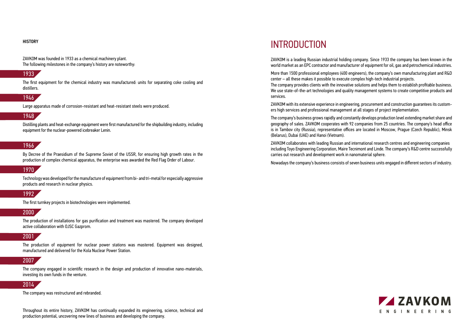ZAVKOM is a leading Russian industrial holding company. Since 1933 the company has been known in the world market as an EPC contractor and manufacturer of equipment for oil, gas and petrochemical industries.

More than 1500 professional employees (400 engineers), the company's own manufacturing plant and R&D center – all these makes it possible to execute complex high-tech industrial projects. The company provides clients with the innovative solutions and helps them to establish profitable business. We use state-of-the-art technologies and quality management systems to create competitive products and services.

ZAVKOM with its extensive experience in engineering, procurement and construction guarantees its customers high services and professional management at all stages of project implementation.

The company's business grows rapidly and constantly develops production level extending market share and geography of sales. ZAVKOM cooperates with 92 companies from 25 countries. The company's head office is in Tambov city (Russia), representative offices are located in Moscow, Prague (Czech Republic), Minsk (Belarus), Dubai (UAE) and Hanoi (Vietnam).

ZAVKOM collaborates with leading Russian and international research centres and engineering companies including Toyo Engineering Corporation, Maire Tecnimont and Linde. The company's R&D centre successfully carries out research and development work in nanomaterial sphere.

Nowadays the company's business consists of seven business units engaged in different sectors of industry.



#### **HISTORY**

ZAVKOM was founded in 1933 as a chemical machinery plant. The following milestones in the company's history are noteworthy:

### 1933

The first equipment for the chemical industry was manufactured: units for separating coke cooling and distillers.

### 1946

Large apparatus made of corrosion-resistant and heat-resistant steels were produced.

### 1948

Distilling plants and heat-exchange equipment were first manufactured for the shipbuilding industry, including equipment for the nuclear-powered icebreaker Lenin.

### 1966

By Decree of the Praesidium of the Supreme Soviet of the USSR, for ensuring high growth rates in the production of complex chemical apparatus, the enterprise was awarded the Red Flag Order of Labour.

### 1970

Technology was developed for the manufacture of equipment from bi- and tri-metal for especially aggressive products and research in nuclear physics.

### 1992

The first turnkey projects in biotechnologies were implemented.

### 2000

The production of installations for gas purification and treatment was mastered. The company developed active collaboration with OJSC Gazprom.

### 2001

The production of equipment for nuclear power stations was mastered. Equipment was designed, manufactured and delivered for the Kola Nuclear Power Station.

### 2007

The company engaged in scientific research in the design and production of innovative nano-materials, investing its own funds in the venture.

### 2014

The company was restructured and rebranded.

Throughout its entire history, ZAVKOM has continually expanded its engineering, science, technical and production potential, uncovering new lines of business and developing the company.

### **INTRODUCTION**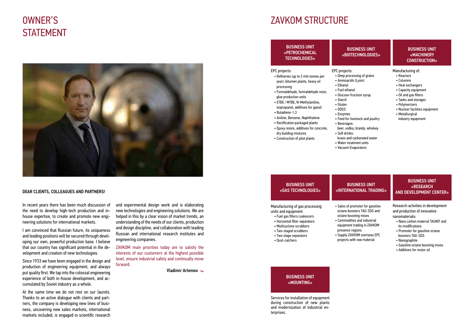### BUSINESS UNIT «PETROCHEMICAL TECHNOLOGIES»

EPC projects:

- Refineries (up to 2 mln tonnes per year), bitumen plants, heavy oil processing
- Formaldehyde, formaldehyde resin, glue production units
- ETBE / MTBE, N-Methylaniline, isopropanol, additives for gasoil • Butadiene-1,3
- Aniline, Benzene, Naphthalene

- BUSINESS UNIT «GAS TECHNOLOGIES» Manufacturing of gas processing units and equipment: • Fuel gas filters coalescers • Horizontal filter separators • Multicyclone scrubbers • Two staged scrubbers BUSINESS UNIT «INTERNATIONAL TRADING» • Sales of promoter for gasoline octane boosters TAG-SDS and octane boosting mixes • Commodities and industrial equipment trading in ZAVKOM presence regions
- Two stage separators
- Dust-catchers
	-

Services for installation of equipment during construction of new plants and modernization of industrial enterprises.

- Supply ZAVKOM overseas EPC
- projects with raw material

### BUSINESS UNIT «RESEARCH AND DEVELOPMENT CENTER»

- Rectification packaged plants
- Epoxy resins, additives for concrete, dry building mixtures
- Construction of pilot plants
- Water treatment units

Research activities in development and production of innovative nanomaterials:

- Nano carbon material TAUNIT and its modifications
- Promoter for gasoline octane boosters TAG-SDS
- Nanographite
- Gasoline octane boosting mixes
- Additives for motor oil

### BUSINESS UNIT «MOUNTING»

### BUSINESS UNIT «BIOTECHNOLOGIES»

#### EPC projects:

and experimental design work and is elaborating new technologies and engineering solutions. We are helped in this by a clear vision of market trends, an understanding of the needs of our clients, production and design discipline, and collaboration with leading Russian and international research institutes and wan according companies.<br>e. I believe the engineering companies. and discrete the control of the material control of the material control of the material control of the material control of the material control of the material control of the material control of the material control of th ugh devel- Russian and international research  $\alpha$ оборудования, в том числе лицензии РОС $\alpha$  $\mu$ ututes anu • Deep processing of grains • Aminoacids (Lysin)

• Ethanol • Fuel ethanol

• Glucose-fructose syrup

• Starch • Gluten • DDGS • Enzymes

• Beverages:

• Soft drinks:

### BUSINESS UNIT «MACHINERY CONSTRUCTION»

- Reactors
- Columns
- Heat exchangers
- Capacity equipment
- Oil and gas filters
- Tanks and storages
- Polymerizers
- Nuclear facilities equipment
- Metallurgical industry equipment
- Feed for livestock and poultry
- beer, vodka, brandy, whiskey
- kvass and carbonated water • Vacuum Evaporators

#### Manufacturing of:

I in the de-<br>  $\frac{1}{2}$  TAVKOM main priorities today are to satisfy the proposed interests of our customers at the highest possible design and level, ensure industrial safety and continually move forward. риканского общества инженеров-механиков

Vladimir Artemov

### OWNER'S THE CONSTRUCTURE OF THE CONSTRUCTURE OF THE CONSTRUCTURE OF THE CONSTRUCTURE OF THE CONSTRUCTURE OF THE CONSTRUCTURE OF THE CONSTRUCTURE OF THE CONSTRUCTURE OF THE CONSTRUCTURE OF THE CONSTRUCTURE OF THE CONSTRUCTU

In recent years there has been much discussion of the need to develop high-tech production and inhouse expertise, to create and promote new engineering solutions for international markets.

I am convinced that Russian future, its uniqueness and leading positions will be secured through developing our own, powerful production base. I believe that our country has significant potential in the development and creation of new technologies.

Since 1933 we have been engaged in the design and production of engineering equipment, and always forward. , which is a set of the colossal engineering and the colossal engineering  $\mathsf{V}\mathsf{I}$  and  $\mathsf{V}\mathsf{I}$  and  $\mathsf{V}\mathsf{I}$ experience of both in-house development, and accumulated by Soviet industry as a whole.

At the same time we do not rest on our laurels. Thanks to an active dialogue with clients and partners, the company is developing new lines of business, uncovering new sales markets, international markets included, is engaged in scientific research

# **STATEMENT**



#### DEAR CLIENTS, COLLEAGUES AND PARTNERS!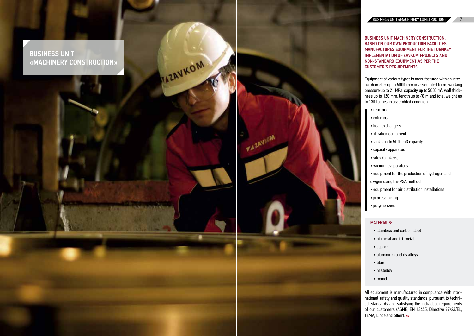**BUSINESS UNIT** «MACHINERY CONSTRUCTION»

**ILLAVKOM** 

**VAZAVIOM** 

### BUSINESS UNIT MACHINERY CONSTRUCTION, BASED ON OUR OWN PRODUCTION FACILITIES, MANUFACTURES EQUIPMENT FOR THE TURNKEY IMPLEMENTATION OF ZAVKOM PROJECTS AND NON-STANDARD EQUIPMENT AS PER THE CUSTOMER'S REQUIREMENTS.

Equipment of various types is manufactured with an inter nal diameter up to 5000 mm in assembled form, working pressure up to 21 MPa, capacity up to 5000 m<sup>3</sup>, wall thickness up to 120 mm, length up to 40 m and total weight up to 130 tonnes in assembled condition:

- stainless and carbon steel
- bi-metal and tri-metal
- copper
- aluminium and its alloys
- titan
- hastelloy
- monel Для создания конкурентоспособного на меж дународном рынке оборудования мы исполь  $\mathbf{u}$
- reactors
- columns
- heat exchangers
- filtration equipment
- tanks up to 5000 m3 capacity
- capacity apparatus
- silos (bunkers)
- vacuum evaporators
- equipment for the production of hydrogen and

oxygen using the PSA method

- equipment for air distribution installations
- process piping
- polymerizers

### MATERIALS:

зуем передовые технологии изготовления и

**All equipment is manufactured in compliance with inter**national safety and quality standards, pursuant to techni-*CARKOM INTERNATION CAL Standards and satisfying the individual requirements* $\alpha$ randomers (ASME, EN 13445, Directive 97/23/EL, proechange, inc. and the metal of our customers (ASME, EN 13445, Directive 97/23/EL, тема, Linde and other). ствии с требования и продаждателями ISO 9001:2000 9001:2000 9001:2000 9001:2000 9001:2000 9001:2000 9001:2000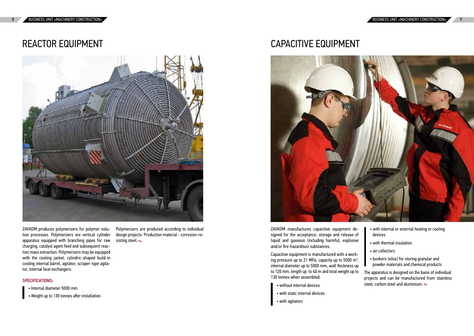# REACTOR EQUIPMENT

- without internal devices
- with static internal devices *THE SCREEP HILL* • with static internal devices
- $m_{\rm H}$  agreed  $\epsilon$ • with agitators

- with internal or external heating or cooling devices and our orientation of the state of the state of the state of the state of the state of the state of the state of the state of the state of the state of the state of the state of the state of the state of the state
- with thermal insulation כל המודע המודע המודע המודע המודע המודע המודע המודע המודע המודע המודע המודע המודע המודע המודע המודע המודע המודע<br>ביטוי המודע המודע המודע המודע המודע המודע המודע המודע המודע המודע המודע המודע המודע המודע המודע המודע המודע ה
- вознание в сострания и продавления в сострания мы использования мы использования и продавать сострания и про<br>Дела в сострания мы использования мы использования мы использования и продавать сострания и продавать сострани
	- bunkers (silos) for storing granular and number (Steely of Ferning gramma, and the powder materials and chemical products  $\frac{1}{2}$  chomical products
- 0 m and total weight up to The apparatus is designed on the basis of individual Аппараты разрабатываются по индивидуаль-projects and can be manufactured from stainless ганизаций на проектирование, изготовление, риканского общества инженеров-механиков steel, carbon steel and aluminium.

 $\sum$ non processes. Tolymenzers are verned cymnuer apparatus equipped with branching pipes for raw s charging, catalyst agent feed and subsequient reacwith the cooling jacket, cylindric-shaped build-in кальные цилиндрические аппараты, снабжен-cooling internal barrel, agitator, scraper-type agitassoamg mornat sarrot, agnator, sorapor typo agna-<br>tor internal heat evchangers tor, internal heat exchangers. ZAVKOM produces polymerizers for polymer solu-  $\qquad$  l tion processes. Polymerizers are vertical cylinder d tion mass extraction. Polymerizers may be equipped

#### $\mathcal{L}$  могут изготавливаться с руботавливаться с руботавливаться с руботавливаться с руботавливаться с руботавливаться с руботавливаться с руботавливаться с руботавливаться с руботавливаться с руботавливаться с руботавл  $SPECIFICATIONS:$

- Internal diameter 5000 mm
- Meight up to 130 toppes after installation  $\blacksquare$ • Weight up to 130 tonnes after installation

TEXTITUTIZETS are produced according  $\frac{1}{\sqrt{2}}$  ing steel.  $\frac{1}{\sqrt{2}}$ Polymerizers are produced according to individual design projects. Production material - corrosion-re-

### CAPACITIVE EQUIPMENT



ZAVKOM manufactures capacitive equipment designed for the acceptance, storage and release of liquid and gaseous (including harmful, explosive vith thermal insu and/or fire-hazardous) substances.

Capacitive equipment is manufactured with a working pressure up to 21 MPa, capacity up to 5000 m<sup>3</sup>,  $\bullet$  bunkers (silos) for internal diameter up to 5000 mm, wall thickness up Powde to 120 mm, length up to 40 m and total weight up to 130 tonnes when assembled:

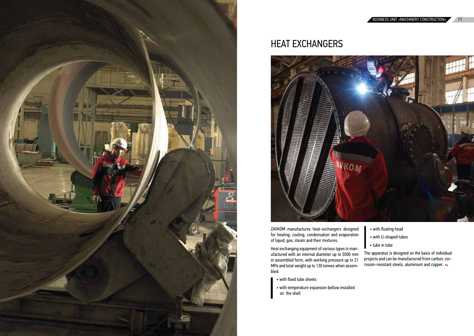

### HEAT EXCHANGERS

газа, пара и их сместа.<br>Пара и се себе сместо се сместо смест ufactured with an internal diameter up to 5000 mm in assembled form, with working pressure up to 21  $\overline{\text{MPa}}$  and total weight up to 130 tonnes when assemв собранном виде различных типов.<br>Начались external radio when tube in tube in tube to 5000 mm — The apparatus is designed on the basis of individual<br>to 5000 mm — The apparatus is designed on the basis of individual rto-budd-mmanusic uppendates is absigned on the basis of inaryladat.<br>sure up to 21 approjects and can be manufactured from carbon, corи меди. rosion-resistant steels, aluminium and copper. монтаж, пуско-наладочные работы и ремонт (ASME).Heat exchanging equipment of various types is man-MPa and total weight up to 130 tonnes when assembled:

- with fixed tube sheets
- with temperature expansion bellow installed on the shell
- ers designed **or** with floating head
- d evaporation vith U-shaped tubes
	-



ZAVKOM manufactures heat-exchangers designed for heating, cooling, condensation and evaporation of liquid, gas, steam and their mixtures.  $\sum$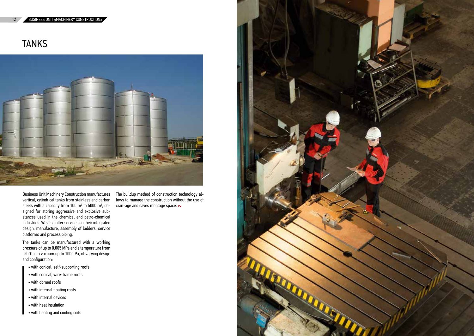### 12 BUSINESS UNIT «MACHINERY CONSTRUCTION»

**TANKS** 

The tanks can be manufactured with a working Pressure or up to 0.000 Pm a and a temperature moment.<br>E0%C in a reason to the 1000 De af required design -50°C in a vacuum up to 1000 Pa, of varying design<br>and configuration: **And provide** pressure of up to 0.005 MPa and a temperature from

- with conical, self-supporting roofs
- $\bullet$  with conical, wire-frame roofs
- with domed roofs
- with internal floating roofs
- with internal devices
- with heat insulation
- with heating and cooling coils

om stainless and carbon lows to manage the construction without the use of the construction of the construction without the use of Технология сборки резервуаров методом под-100  $m^3$  to 5000  $m^3$ , de- cran-age and saves montage space. المعالجة المستخدمة المستخدمة المستخدمة المستخدمة المستخدمة المستخدمة المستخدمة المستخدمة المستخدمة المستخدمة ا



Business Unit Machinery Construction manufactures  $\;\;\;\;$  The buildup method of construction technology alvertical, cylindrical tanks from stainless and carbon steels with a capacity from 100  $\text{m}^3$  to 5000  $\text{m}^3$ , designed for storing aggressive and explosive substances used in the chemical and petro-chemical industries. We also offer services on their integrated а так же предлагает услуги по их комплексному design, manufacture, assembly of ladders, service aborgh, manaractare, aboomsty of taaabre, corrice platforms and process piping.

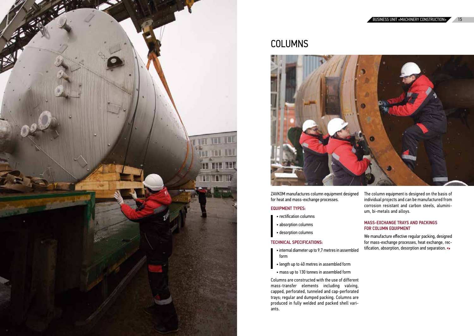![](_page_7_Picture_0.jpeg)

### **COLUMNS**

![](_page_7_Picture_2.jpeg)

ZAVKOM manufactures column equipment designed for heat and mass-exchange processes.

#### тепло- и массообмена. EQUIPMENT TYPES:

- rectification columns
	- absorption columns
- $\bullet$  desorption columns

### TECHNICAL SPECIFICATIONS:

- $\bullet$  internal diameter up to 9,7 metres in assembled form
- length up to 40 metres in assembled form
	- mass up to 130 tonnes in assembled form

Columns are constructed with the use of different mass-transfer elements including valving, cappeu, perforateu, tunneteu anu cap-perforateu trays; regular and dumped packing. Columns are produced in fully welded and packed shell vari- $\mathsf{ants.}$ capped, perforated, tunneled and cap-perforated ants.

The column equipment is designed on the basis of individual projects and can be manufactured from corrosion resistant and carbon steels, aluminium, bi-metals and alloys.

#### видуальным проектам и могут быть изготовлены MASS-EXCHANGE TRAYS AND PACKINGS FOR COLUMN EQUIPMENT зуем передовые технологии изготовления и MASS-EXCHANGE TRAYS AND PAC ответствия на все выпускаемое оборудование.

redimental text of the control of gatal procincity, assigned for mass-exchange processes, heat exchange, recwonders of these conducts processes, heat exercises, and the tification, absorption, desorption and separation. We manufacture effective regular packing, designed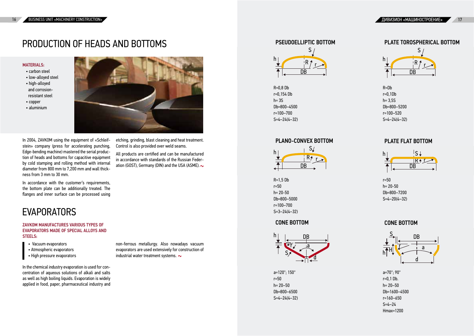# PRODUCTION OF HEADS AND BOTTOMS

#### **MATERIAL S-**

- carbon steel
- $\bullet$  low-alloyed steel
- high-alloyed and corrosionresistant steel
- copper
- aluminium

a=120°; 150° r=50  $h = 20 - 50$ Db=800–6500  $S=4-24(4-32)$ 

a=70°; 90° a=70°; 90° r=0,1 Db.  $h = 20 - 50$ r=0,1 Db.<br>h= 20–50<br>Db=1600–4500 r=160–650 r=160–650 S=4–24 S=4–24 Hmax=1200

### PSEUDOELLIPTIC BOTTOM **EXECUTE:** PLATE TOROSPHERICAL BOTTOM

R=0,8 Db r=0,154 Db  $h = 3S$ Db=800-4500  $r=100-700$ S=4–24(4–30)

### PLANO-CONVEX BOTTOM PLATE FLAT BOTTO

In 2004, ZAVKOM using the equipment of «Schleifstein» company (press for accelerating punching, Edge-bending machine) mastered the serial production of heads and bottoms for capacitive equipment by cold stamping and rolling method with internal  $\widetilde{d}$ iameter from 800 mm to 7,200 mm and wall thickстенки от 3 мм до 30 мм. ness from 3 mm to 30 mm.

![](_page_8_Picture_21.jpeg)

![](_page_8_Figure_31.jpeg)

![](_page_8_Figure_24.jpeg)

In accordance with the customer's requirements, more continued that the careforms of equivalently,<br>the bottom plate can be additionally treated. The flanges and inner surface can be processed using

![](_page_8_Figure_34.jpeg)

### EVAPORATORS  $\overline{a}$

#### $\blacksquare$ ZAVKOM MANUFACTURES VARIOUS TYPES OF • установки, работающие под вакуумом STEELS: дународном рынке оборудования мынке оборудования мы используется оборудования мы используется оборудования мы<br>- Мы используется оборудования мы используется оборудования мы используется оборудования мы используется обору EVAPORATORS MADE OF SPECIAL ALLOYS AND

- Vacuum evaporators
- Atmospheric evaporators
- $\bullet$  High pressure evaporators

![](_page_8_Figure_37.jpeg)

R=1,5 Db r=50 h= 20–50 20-50 Db=800–5000 r=100–700 S=3–24(4–32) R=Db r=0,1 Db r=0,1Db h= 3,5S h= 3,5S Db=800–5200 Db=800–5200 r=100–510 r=100–520 S=4–24(4–30) S=4–24(4–32)

```
r=50
h= 20–50
r=50h= 20-50
Db.=800–7200
Db=800–7200
S=4–20(4–30)
S=4–20(4–32)
```
### CONE BOTTOM CONE BOTTOM

etching, grinding, blast cleaning and heat treatment. punching,  $\;\;\;$  Control is also provided over weld seams. it «Schleif- etching, grinding, blast cleaning and f Наша компания проектирует и изготавливает

ial produc-<br>equipment of all products are certified and can be manufactured equipment in accordance with standards of the Russian Feder-<br>ith internal готовляться по стандартам Российской Феде-ation (GOST), Germany (DIN) and the USA (ASME). монтаж, пуско-наладочные работы и ремонт (ASME). рации (ГОСТ), Германии (DIN) и США (ASME). сосуды и аппараты, работающие под давле-

non-ferrous metallurgy. Also nowadays vacuum evaporators are used extensively for construction of ensperators are also antitiously to constrain the series. industrial water treatment systems. For a state of the state of the state of the state of the state of the state of the state of the state of the state of the state of the state of the state of the state of the state of th сосуды и аппараты, работающие под давле-

![](_page_8_Figure_27.jpeg)

Centration of aqueous solutions of atkain<br>The International International Communist as well as high boiling liquids. Evaporation is widely  $\mathbf{r} = \mathbf{r}_1 + \mathbf{r}_2$  ,  $\mathbf{r}_2 = \mathbf{r}_1 + \mathbf{r}_2$  ,  $\mathbf{r}_3 = \mathbf{r}_3$  ,  $\mathbf{r}_4 = \mathbf{r}_4$ In the chemical industry evaporation is used for concentration of aqueous solutions of alkali and salts applied in food, paper, pharmaceutical industry and

![](_page_8_Picture_8.jpeg)

### CONE BOTTOM

### PLATE FLAT BOTTOM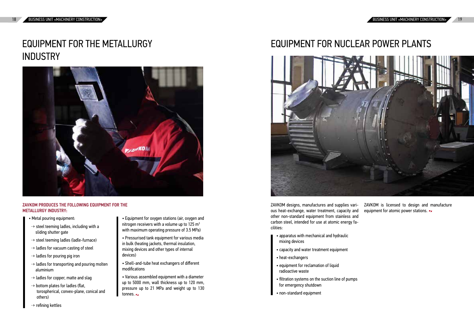# EQUIPMENT FOR THE METALLURGY INDUSTRY

![](_page_9_Picture_2.jpeg)

### ZAVKOM PRODUCES THE FOLLOWING EQUIPMENT FOR THE METALLURGY INDUSTRY:

- Metal pouring equipment:
- ┈→ steel teeming ladles, including with a sliding shutter gate
- ┈→ steel teeming ladles (ladle-furnace)
- ┈→ ladles for vacuum casting of steel
- ┈→ ladles for pouring pig iron
- $\rightarrow$  ladles for transporting and pouring molten **aluminium** denote the pouring promotion
- ┈→ ladles for copper, matte and slag
- ↔ bottom plates for ladles (flat, **Extrem plates for taates (ital,** model in the settern plates on taates (ital, others) (or opprictical, correct plane, correct and
- ┈→ refining kettles
- Equipment for oxygen stations (air, oxygen and nitrogen receivers with a volume up to 125  $m<sup>3</sup>$ with maximum operating pressure of 3.5 MPa)
- $\mathbf{p}$  ,  $\mathbf{p}$  ,  $\mathbf{p}$  ,  $\mathbf{p}$  ,  $\mathbf{p}$  ,  $\mathbf{p}$  ,  $\mathbf{p}$  ,  $\mathbf{p}$  ,  $\mathbf{p}$ in bulk (heating jackets, thermal insulation, mixing devices and other types of internal official devices) перемешки устройствами устройствами и др. на селото на селото на селото на селото на селото на селото на селото<br>Постојата на селото на селото на селото на селото на селото на селото на селото на селото на селото на селото • Pressurised tank equipment for various media
- $\bullet$  Shell-and-tube heat exchangers of different  $\mathbf{r}$  –  $\mathbf{r}$  –  $\mathbf{r}$  –  $\mathbf{r}$  –  $\mathbf{r}$  –  $\mathbf{r}$  –  $\mathbf{r}$  –  $\mathbf{r}$  –  $\mathbf{r}$  –  $\mathbf{r}$  –  $\mathbf{r}$  –  $\mathbf{r}$  –  $\mathbf{r}$  –  $\mathbf{r}$  –  $\mathbf{r}$  –  $\mathbf{r}$  –  $\mathbf{r}$  –  $\mathbf{r}$  –  $\mathbf{r}$  –  $\mathbf{r}$  – modifications НАДЗОРА, ГОСАТОМНАДЗОРА; сертификаты со-• Shell-and-tube heat exchangers of different
- $\bullet$  Various assembled equipment with a diameter ap to 0000 mm, wait included up to 120 pressure up to 21 MPa and weight up to 130  $\overline{\phantom{a}}$ up to 5000 mm, wall thickness up to 120 mm, tonnes. Наша компания проектирует и изготавливает  $\bullet$  various assembled equipment with a diameter

# EQUIPMENT FOR NUCLEAR POWER PLANTS

- значенное для использования на объектах атом-• apparatus with mechanical and hydraulic • аппараты с механическими и mixing devices
- $\bullet$  capacity and water treatment equipment
- heat-exchangers
- equipment for reclamation of liquid radioactive waste
- filtration systems on the suction line of pumps for emergency shutdown
- non-standard equipment

![](_page_9_Picture_18.jpeg)

ZAVKOM designs, manufactures and supplies various heat-exchange, water treatment, capacity and other non-standard equipment from stainless and carbon steel, intended for use at atomic energy fa- $\frac{1}{2}$ cilities: res and supplies vari- ZAVKOM is licensed to design and manufacture eatment, capacity and equipment for atomic power stations.  $\blacktriangleright$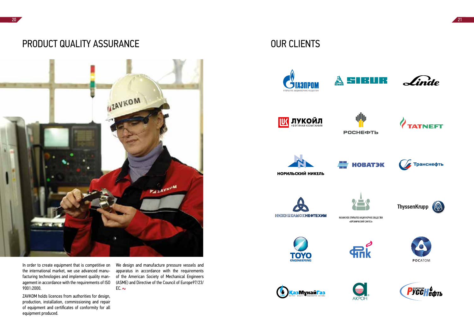the international market, we use advanced manufacturing technologies and implement quality mansustaining secure to give and impressed spain, main agement in accordance with the requirements of ISO<br>९००१,२०००  $7001.2000.$ In order to create equipment that is competitive on монтаж, пуско-наладочные работы и ремонт 9001:2000.

### PRODUCT QUALITY ASSURANCE OUR CLIENTS

![](_page_10_Picture_1.jpeg)

1- apparatus in accordance with the requirements 1- of the American Society of Mechanical Engineers ответствия на все выпускаемое оборудование. риканского общества инженеров-механиков (ASME) and Directive of the Council of Europe97/23/ наша компания проективует и изготавливает и изготавливает и изготавливает и изготавливает и изготавливает и из<br>Наша компания проективности проективности проективности проективности проективности проективности проективност on We design and manufacture pressure vessels and (ASME). ЕС.

### OUR CLIENTS

![](_page_10_Picture_6.jpeg)

![](_page_10_Picture_7.jpeg)

![](_page_10_Picture_10.jpeg)

![](_page_10_Picture_12.jpeg)

![](_page_10_Picture_14.jpeg)

![](_page_10_Picture_15.jpeg)

![](_page_10_Picture_16.jpeg)

![](_page_10_Picture_17.jpeg)

![](_page_10_Picture_18.jpeg)

ЗАВКОМ имеет лицензии уполномоченных ор-production, installation, commissioning and repair production, installation, commissioning and repair of equipment and certificates of conformity for all ZAVKOM holds licences from authorities for design, equipment produced.

![](_page_10_Figure_20.jpeg)

![](_page_10_Picture_21.jpeg)

![](_page_10_Picture_22.jpeg)

![](_page_10_Picture_23.jpeg)

![](_page_10_Picture_24.jpeg)

![](_page_10_Picture_25.jpeg)

![](_page_10_Picture_26.jpeg)

![](_page_10_Picture_27.jpeg)

![](_page_10_Picture_28.jpeg)

![](_page_10_Picture_29.jpeg)

![](_page_10_Picture_30.jpeg)

![](_page_10_Picture_31.jpeg)

![](_page_10_Picture_32.jpeg)

![](_page_10_Picture_33.jpeg)

![](_page_10_Picture_34.jpeg)